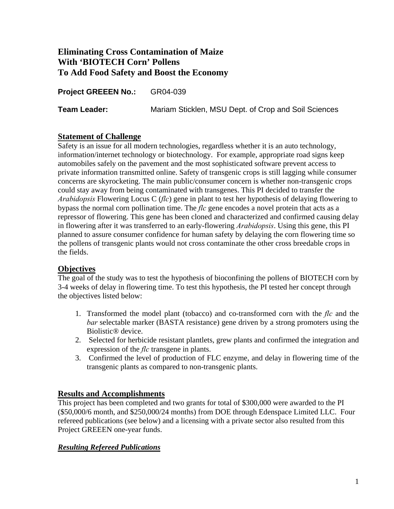# **Eliminating Cross Contamination of Maize With 'BIOTECH Corn' Pollens To Add Food Safety and Boost the Economy**

**Project GREEEN No.:** GR04-039

**Team Leader:** Mariam Sticklen, MSU Dept. of Crop and Soil Sciences

#### **Statement of Challenge**

Safety is an issue for all modern technologies, regardless whether it is an auto technology, information/internet technology or biotechnology. For example, appropriate road signs keep automobiles safely on the pavement and the most sophisticated software prevent access to private information transmitted online. Safety of transgenic crops is still lagging while consumer concerns are skyrocketing. The main public/consumer concern is whether non-transgenic crops could stay away from being contaminated with transgenes. This PI decided to transfer the *Arabidopsis* Flowering Locus C (*flc*) gene in plant to test her hypothesis of delaying flowering to bypass the normal corn pollination time. The *flc* gene encodes a novel protein that acts as a repressor of flowering. This gene has been cloned and characterized and confirmed causing delay in flowering after it was transferred to an early-flowering *Arabidopsis*. Using this gene, this PI planned to assure consumer confidence for human safety by delaying the corn flowering time so the pollens of transgenic plants would not cross contaminate the other cross breedable crops in the fields.

## **Objectives**

The goal of the study was to test the hypothesis of bioconfining the pollens of BIOTECH corn by 3-4 weeks of delay in flowering time. To test this hypothesis, the PI tested her concept through the objectives listed below:

- 1. Transformed the model plant (tobacco) and co-transformed corn with the *flc* and the *bar* selectable marker (BASTA resistance) gene driven by a strong promoters using the Biolistic® device.
- 2. Selected for herbicide resistant plantlets, grew plants and confirmed the integration and expression of the *flc* transgene in plants.
- 3. Confirmed the level of production of FLC enzyme, and delay in flowering time of the transgenic plants as compared to non-transgenic plants.

## **Results and Accomplishments**

This project has been completed and two grants for total of \$300,000 were awarded to the PI (\$50,000/6 month, and \$250,000/24 months) from DOE through Edenspace Limited LLC. Four refereed publications (see below) and a licensing with a private sector also resulted from this Project GREEEN one-year funds.

#### *Resulting Refereed Publications*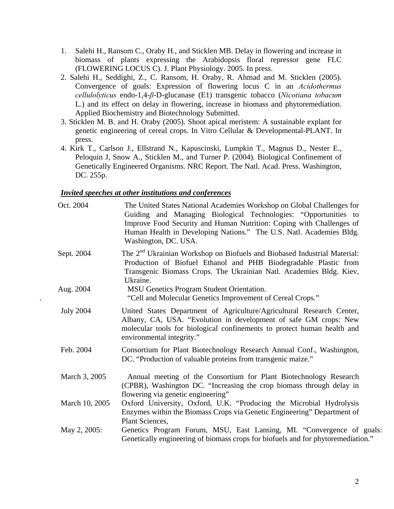- 1. Salehi H., Ransom C., Oraby H., and Sticklen MB. Delay in flowering and increase in biomass of plants expressing the Arabidopsis floral repressor gene FLC (FLOWERING LOCUS C). J. Plant Physiology. 2005. In press.
- 2. Salehi H., Seddighi, Z., C. Ransom, H. Oraby, R. Ahmad and M. Sticklen (2005). Convergence of goals: Expression of flowering locus C in an *Acidothermus cellulolyticus* endo-1,4-*β*-D-glucanase (E1) transgenic tobacco (*Nicotiana tobacum* L.) and its effect on delay in flowering, increase in biomass and phytoremediation. Applied Biochemistry and Biotechnology Submitted.
- 3. Sticklen M. B. and H. Oraby (2005). Shoot apical meristem: A sustainable explant for genetic engineering of cereal crops. In Vitro Cellular & Developmental-PLANT. In press.
- 4. Kirk T., Carlson J., Ellstrand N., Kapuscinski, Lumpkin T., Magnus D., Nester E., Peloquin J, Snow A., Sticklen M., and Turner P. (2004). Biological Confinement of Genetically Engineered Organisms. NRC Report. The Natl. Acad. Press. Washington, DC. 255p.

#### *Invited speeches at other institutions and conferences*

| Oct. 2004        | The United States National Academies Workshop on Global Challenges for<br>Guiding and Managing Biological Technologies: "Opportunities to<br>Improve Food Security and Human Nutrition: Coping with Challenges of<br>Human Health in Developing Nations." The U.S. Natl. Academies Bldg.<br>Washington, DC. USA. |
|------------------|------------------------------------------------------------------------------------------------------------------------------------------------------------------------------------------------------------------------------------------------------------------------------------------------------------------|
| Sept. 2004       | The 2 <sup>nd</sup> Ukrainian Workshop on Biofuels and Biobased Industrial Material:<br>Production of Biofuel Ethanol and PHB Biodegradable Plastic from<br>Transgenic Biomass Crops. The Ukrainian Natl. Academies Bldg. Kiev,<br>Ukraine.                                                                      |
| Aug. 2004        | MSU Genetics Program Student Orientation.<br>"Cell and Molecular Genetics Improvement of Cereal Crops."                                                                                                                                                                                                          |
| <b>July 2004</b> | United States Department of Agriculture/Agricultural Research Center,<br>Albany, CA, USA. "Evolution in development of safe GM crops: New<br>molecular tools for biological confinements to protect human health and<br>environmental integrity."                                                                |
| Feb. 2004        | Consortium for Plant Biotechnology Research Annual Conf., Washington,<br>DC. "Production of valuable proteins from transgenic maize."                                                                                                                                                                            |
| March 3, 2005    | Annual meeting of the Consortium for Plant Biotechnology Research<br>(CPBR), Washington DC. "Increasing the crop biomass through delay in<br>flowering via genetic engineering"                                                                                                                                  |
| March 10, 2005   | Oxford University, Oxford, U.K. "Producing the Microbial Hydrolysis<br>Enzymes within the Biomass Crops via Genetic Engineering" Department of<br>Plant Sciences,                                                                                                                                                |
| May 2, 2005:     | Genetics Program Forum, MSU, East Lansing, MI. "Convergence of goals:<br>Genetically engineering of biomass crops for biofuels and for phytoremediation."                                                                                                                                                        |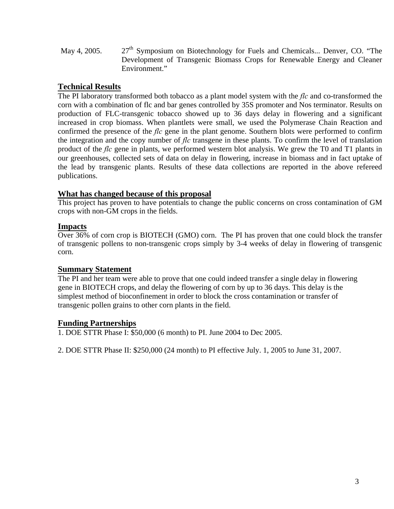May 4, 2005. 27<sup>th</sup> Symposium on Biotechnology for Fuels and Chemicals... Denver, CO. "The Development of Transgenic Biomass Crops for Renewable Energy and Cleaner Environment."

## **Technical Results**

The PI laboratory transformed both tobacco as a plant model system with the *flc* and co-transformed the corn with a combination of flc and bar genes controlled by 35S promoter and Nos terminator. Results on production of FLC-transgenic tobacco showed up to 36 days delay in flowering and a significant increased in crop biomass. When plantlets were small, we used the Polymerase Chain Reaction and confirmed the presence of the *flc* gene in the plant genome. Southern blots were performed to confirm the integration and the copy number of *flc* transgene in these plants. To confirm the level of translation product of the *flc* gene in plants, we performed western blot analysis. We grew the T0 and T1 plants in our greenhouses, collected sets of data on delay in flowering, increase in biomass and in fact uptake of the lead by transgenic plants. Results of these data collections are reported in the above refereed publications.

#### **What has changed because of this proposal**

This project has proven to have potentials to change the public concerns on cross contamination of GM crops with non-GM crops in the fields.

#### **Impacts**

Over 36% of corn crop is BIOTECH (GMO) corn. The PI has proven that one could block the transfer of transgenic pollens to non-transgenic crops simply by 3-4 weeks of delay in flowering of transgenic corn.

## **Summary Statement**

The PI and her team were able to prove that one could indeed transfer a single delay in flowering gene in BIOTECH crops, and delay the flowering of corn by up to 36 days. This delay is the simplest method of bioconfinement in order to block the cross contamination or transfer of transgenic pollen grains to other corn plants in the field.

## **Funding Partnerships**

1. DOE STTR Phase I: \$50,000 (6 month) to PI. June 2004 to Dec 2005.

2. DOE STTR Phase II: \$250,000 (24 month) to PI effective July. 1, 2005 to June 31, 2007.